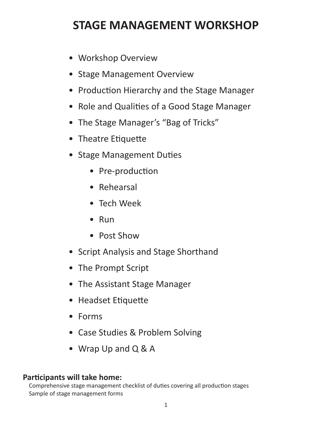# **STAGE MANAGEMENT WORKSHOP**

- Workshop Overview
- Stage Management Overview
- Production Hierarchy and the Stage Manager
- Role and Qualities of a Good Stage Manager
- The Stage Manager's "Bag of Tricks"
- Theatre Etiquette
- Stage Management Duties
	- Pre-production
	- Rehearsal
	- Tech Week
	- Run
	- Post Show
- • Script Analysis and Stage Shorthand
- The Prompt Script
- The Assistant Stage Manager
- • Headset Etiquette
- • Forms
- Case Studies & Problem Solving
- Wrap Up and Q & A

### **Participants will take home:**

Comprehensive stage management checklist of duties covering all production stages Sample of stage management forms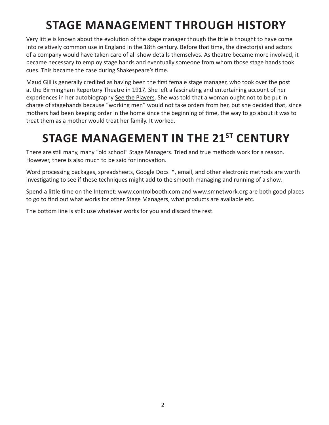# **stage management through history**

Very little is known about the evolution of the stage manager though the title is thought to have come into relatively common use in England in the 18th century. Before that time, the director(s) and actors of a company would have taken care of all show details themselves. As theatre became more involved, it became necessary to employ stage hands and eventually someone from whom those stage hands took cues. This became the case during Shakespeare's time.

Maud Gill is generally credited as having been the first female stage manager, who took over the post at the Birmingham Repertory Theatre in 1917. She left a fascinating and entertaining account of her experiences in her autobiography See the Players. She was told that a woman ought not to be put in charge of stagehands because "working men" would not take orders from her, but she decided that, since mothers had been keeping order in the home since the beginning of time, the way to go about it was to treat them as a mother would treat her family. It worked.

# **stage management in the 21st century**

There are still many, many "old school" Stage Managers. Tried and true methods work for a reason. However, there is also much to be said for innovation.

Word processing packages, spreadsheets, Google Docs ™, email, and other electronic methods are worth investigating to see if these techniques might add to the smooth managing and running of a show.

Spend a little time on the Internet: www.controlbooth.com and www.smnetwork.org are both good places to go to find out what works for other Stage Managers, what products are available etc.

The bottom line is still: use whatever works for you and discard the rest.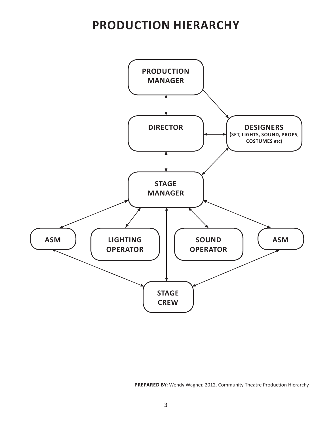# **production hierarchy**



**prepared by:** Wendy Wagner, 2012. Community Theatre Production Hierarchy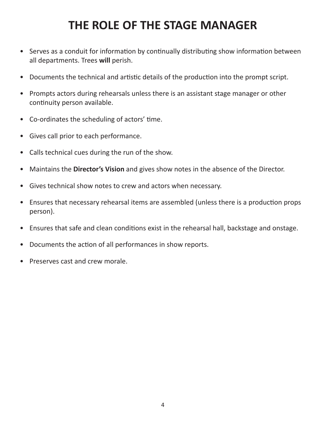# **THE ROLE OF THE STAGE MANAGER**

- Serves as a conduit for information by continually distributing show information between all departments. Trees **will** perish.
- Documents the technical and artistic details of the production into the prompt script.
- Prompts actors during rehearsals unless there is an assistant stage manager or other continuity person available.
- • Co-ordinates the scheduling of actors' time.
- • Gives call prior to each performance.
- Calls technical cues during the run of the show.
- • Maintains the **Director's Vision** and gives show notes in the absence of the Director.
- Gives technical show notes to crew and actors when necessary.
- Ensures that necessary rehearsal items are assembled (unless there is a production props person).
- Ensures that safe and clean conditions exist in the rehearsal hall, backstage and onstage.
- Documents the action of all performances in show reports.
- Preserves cast and crew morale.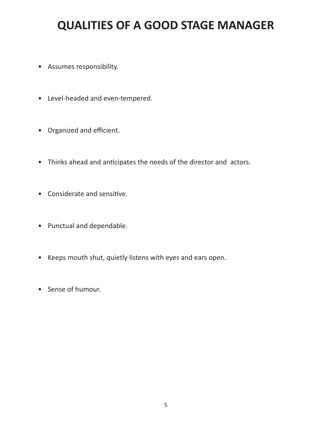# **QUALITIES OF A GOOD STAGE MANAGER**

- • Assumes responsibility.
- • Level-headed and even-tempered.
- • Organized and efficient.
- • Thinks ahead and anticipates the needs of the director and actors.
- • Considerate and sensitive.
- • Punctual and dependable.
- • Keeps mouth shut, quietly listens with eyes and ears open.
- Sense of humour.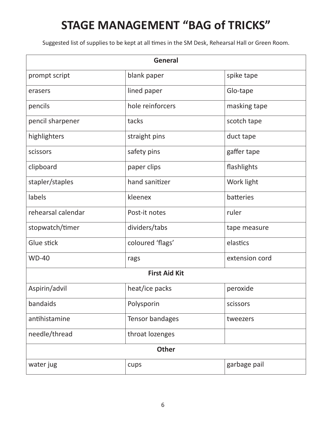# **STAGE MANAGEMENT "BAG of TRICKS"**

Suggested list of supplies to be kept at all times in the SM Desk, Rehearsal Hall or Green Room.

| <b>General</b>     |                      |                |  |  |
|--------------------|----------------------|----------------|--|--|
| prompt script      | blank paper          | spike tape     |  |  |
| erasers            | lined paper          | Glo-tape       |  |  |
| pencils            | hole reinforcers     | masking tape   |  |  |
| pencil sharpener   | tacks                | scotch tape    |  |  |
| highlighters       | straight pins        | duct tape      |  |  |
| scissors           | safety pins          | gaffer tape    |  |  |
| clipboard          | paper clips          | flashlights    |  |  |
| stapler/staples    | hand sanitizer       | Work light     |  |  |
| labels             | kleenex              | batteries      |  |  |
| rehearsal calendar | Post-it notes        | ruler          |  |  |
| stopwatch/timer    | dividers/tabs        | tape measure   |  |  |
| Glue stick         | coloured 'flags'     | elastics       |  |  |
| <b>WD-40</b>       | rags                 | extension cord |  |  |
|                    | <b>First Aid Kit</b> |                |  |  |
| Aspirin/advil      | heat/ice packs       | peroxide       |  |  |
| bandaids           | Polysporin           | scissors       |  |  |
| antihistamine      | Tensor bandages      | tweezers       |  |  |
| needle/thread      | throat lozenges      |                |  |  |
| <b>Other</b>       |                      |                |  |  |
| water jug          | cups                 | garbage pail   |  |  |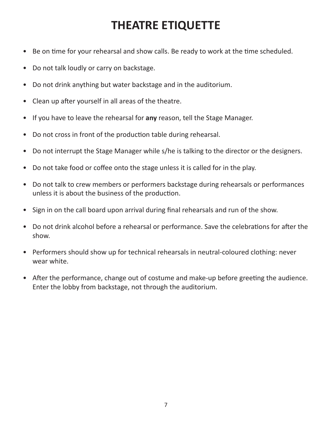# **THEATRE ETIQUETTE**

- Be on time for your rehearsal and show calls. Be ready to work at the time scheduled.
- Do not talk loudly or carry on backstage.
- Do not drink anything but water backstage and in the auditorium.
- Clean up after yourself in all areas of the theatre.
- • If you have to leave the rehearsal for **any** reason, tell the Stage Manager.
- Do not cross in front of the production table during rehearsal.
- Do not interrupt the Stage Manager while s/he is talking to the director or the designers.
- Do not take food or coffee onto the stage unless it is called for in the play.
- Do not talk to crew members or performers backstage during rehearsals or performances unless it is about the business of the production.
- Sign in on the call board upon arrival during final rehearsals and run of the show.
- Do not drink alcohol before a rehearsal or performance. Save the celebrations for after the show.
- Performers should show up for technical rehearsals in neutral-coloured clothing: never wear white.
- After the performance, change out of costume and make-up before greeting the audience. Enter the lobby from backstage, not through the auditorium.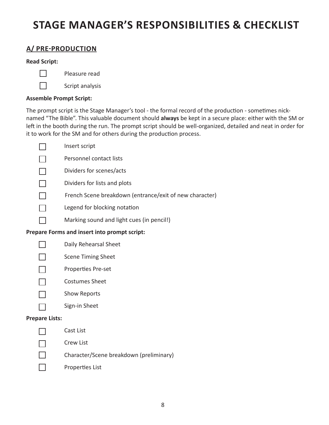# **stage manager's responsibilities & Checklist**

### **a/ pre-production**

#### **Read Script:**



- Pleasure read
- Script analysis

### **Assemble Prompt Script:**

The prompt script is the Stage Manager's tool - the formal record of the production - sometimes nicknamed "The Bible". This valuable document should **always** be kept in a secure place: either with the SM or left in the booth during the run. The prompt script should be well-organized, detailed and neat in order for it to work for the SM and for others during the production process.

| Insert script                                           |
|---------------------------------------------------------|
| Personnel contact lists                                 |
| Dividers for scenes/acts                                |
| Dividers for lists and plots                            |
| French Scene breakdown (entrance/exit of new character) |
| Legend for blocking notation                            |
| Marking sound and light cues (in pencil!)               |
| <b>Prepare Forms and insert into prompt script:</b>     |
| Daily Rehearsal Sheet                                   |
| <b>Scene Timing Sheet</b>                               |
| Properties Pre-set                                      |
|                                                         |

- Costumes Sheet  $\Box$
- Show Reports  $\Box$
- Sign-in Sheet  $\Box$

### **Prepare Lists:**

 $\Box$ Cast List Crew List  $\Box$  $\Box$ Character/Scene breakdown (preliminary)  $\Box$ Properties List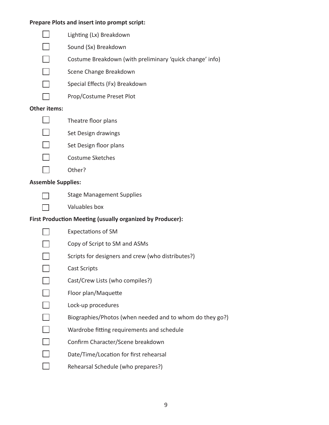#### **Prepare Plots and insert into prompt script:**



#### **Other items:**

- $\Box$  $\Box$ 
	- Theatre floor plans
	- Set Design drawings
- $\Box$ Set Design floor plans
- $\Box$ Costume Sketches
	- Other?

### **Assemble Supplies:**

 $\Box$ 

Stage Management Supplies

Valuables box

### **First Production Meeting (usually organized by Producer):**

| <b>Expectations of SM</b>                                |
|----------------------------------------------------------|
| Copy of Script to SM and ASMs                            |
| Scripts for designers and crew (who distributes?)        |
| Cast Scripts                                             |
| Cast/Crew Lists (who compiles?)                          |
| Floor plan/Maquette                                      |
| Lock-up procedures                                       |
| Biographies/Photos (when needed and to whom do they go?) |
| Wardrobe fitting requirements and schedule               |
| Confirm Character/Scene breakdown                        |
| Date/Time/Location for first rehearsal                   |
| Rehearsal Schedule (who prepares?)                       |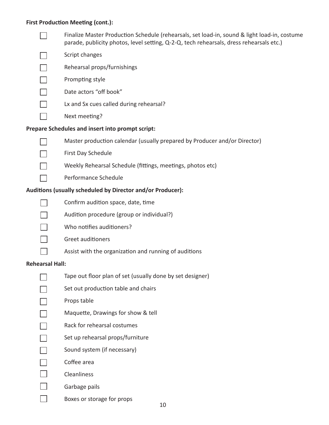#### **First Production Meeting (cont.):**

Finalize Master Production Schedule (rehearsals, set load-in, sound & light load-in, costume  $\Box$ parade, publicity photos, level setting, Q-2-Q, tech rehearsals, dress rehearsals etc.)

- Script changes  $\Box$
- Rehearsal props/furnishings  $\Box$
- Prompting style  $\Box$
- Date actors "off book"  $\Box$ 
	- Lx and Sx cues called during rehearsal?
		- Next meeting?

#### **Prepare Schedules and insert into prompt script:**



 $\Box$ 

 $\Box$ 

 $\Box$ 

 $\Box$ 

 $\Box$ 

- Master production calendar (usually prepared by Producer and/or Director)
- First Day Schedule
	- Weekly Rehearsal Schedule (fittings, meetings, photos etc)
	- Performance Schedule

### **Auditions (usually scheduled by Director and/or Producer):**

 $\mathbb{R}^n$ 

 $\Box$ 

- Confirm audition space, date, time
- Audition procedure (group or individual?)
- П Who notifies auditioners?



 $\Box$ 

- Greet auditioners
	- Assist with the organization and running of auditions

#### **Rehearsal Hall:**

 $\Box$ 

- Tape out floor plan of set (usually done by set designer)
- Set out production table and chairs  $\Box$
- Props table  $\Box$
- Maquette, Drawings for show & tell  $\Box$
- Rack for rehearsal costumes  $\Box$
- $\Box$ Set up rehearsal props/furniture
- Sound system (if necessary)  $\Box$
- $\Box$ Coffee area
- $\Box$ Cleanliness
- $\Box$ Garbage pails
- $\Box$ Boxes or storage for props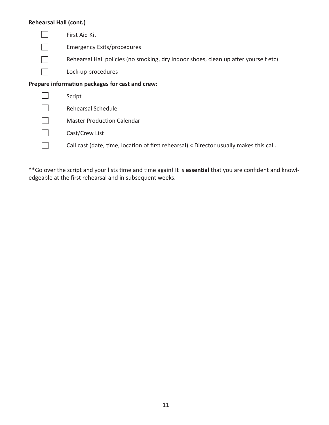### **Rehearsal Hall (cont.)**

| First Aid Kit                                                                           |
|-----------------------------------------------------------------------------------------|
| <b>Emergency Exits/procedures</b>                                                       |
| Rehearsal Hall policies (no smoking, dry indoor shoes, clean up after yourself etc)     |
| Lock-up procedures                                                                      |
| Prepare information packages for cast and crew:                                         |
| Script                                                                                  |
| Rehearsal Schedule                                                                      |
| <b>Master Production Calendar</b>                                                       |
| Cast/Crew List                                                                          |
| Call cast (date, time, location of first rehearsal) < Director usually makes this call. |
|                                                                                         |

\*\*Go over the script and your lists time and time again! It is **essential** that you are confident and knowledgeable at the first rehearsal and in subsequent weeks.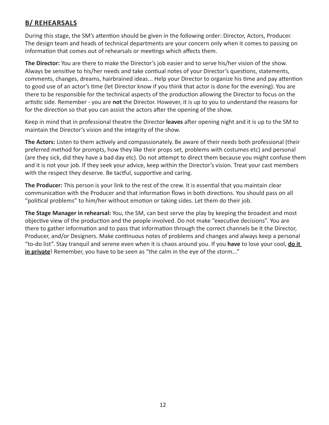### **B/ REHEARSALS**

During this stage, the SM's attention should be given in the following order: Director, Actors, Producer. The design team and heads of technical departments are your concern only when it comes to passing on information that comes out of rehearsals or meetings which affects them.

**The Director:** You are there to make the Director's job easier and to serve his/her vision of the show. Always be sensitive to his/her needs and take contiual notes of your Director's questions, statements, comments, changes, dreams, hairbrained ideas... Help your Director to organize his time and pay attention to good use of an actor's time (let Director know if you think that actor is done for the evening). You are there to be responsible for the technical aspects of the production allowing the Director to focus on the artistic side. Remember - you are **not** the Director. However, it is up to you to understand the reasons for for the direction so that you can assist the actors after the opening of the show.

Keep in mind that in professional theatre the Director **leaves** after opening night and it is up to the SM to maintain the Director's vision and the integrity of the show.

**The Actors:** Listen to them actively and compassionately. Be aware of their needs both professional (their preferred method for prompts, how they like their props set, problems with costumes etc) and personal (are they sick, did they have a bad day etc). Do not attempt to direct them because you might confuse them and it is not your job. If they seek your advice, keep within the Director's vision. Treat your cast members with the respect they deserve. Be tactful, supportive and caring.

**The Producer:** This person is your link to the rest of the crew. It is essential that you maintain clear communication with the Producer and that information flows in both directions. You should pass on all "political problems" to him/her without emotion or taking sides. Let them do their job.

**The Stage Manager in rehearsal:** You, the SM, can best serve the play by keeping the broadest and most objective view of the production and the people involved. Do not make "executive decisions". You are there to gather information and to pass that information through the correct channels be it the Director, Producer, and/or Designers. Make continuous notes of problems and changes and always keep a personal "to-do list". Stay tranquil and serene even when it is chaos around you. If you **have** to lose your cool, **do it in private**! Remember, you have to be seen as "the calm in the eye of the storm..."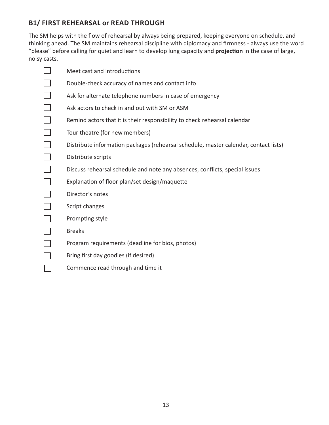### **B1/ First rehearsal or Read Through**

The SM helps with the flow of rehearsal by always being prepared, keeping everyone on schedule, and thinking ahead. The SM maintains rehearsal discipline with diplomacy and firmness - always use the word "please" before calling for quiet and learn to develop lung capacity and **projection** in the case of large, noisy casts.

 $\Box$ Meet cast and introductions  $\Box$ Double-check accuracy of names and contact info  $\Box$ Ask for alternate telephone numbers in case of emergency  $\Box$ Ask actors to check in and out with SM or ASM  $\Box$ Remind actors that it is their responsibility to check rehearsal calendar  $\Box$ Tour theatre (for new members)  $\Box$ Distribute information packages (rehearsal schedule, master calendar, contact lists)  $\Box$ Distribute scripts  $\Box$ Discuss rehearsal schedule and note any absences, conflicts, special issues  $\Box$ Explanation of floor plan/set design/maquette  $\Box$ Director's notes  $\Box$ Script changes  $\Box$ Prompting style  $\Box$ Breaks  $\Box$ Program requirements (deadline for bios, photos)  $\Box$ Bring first day goodies (if desired)  $\mathbb{R}^n$ Commence read through and time it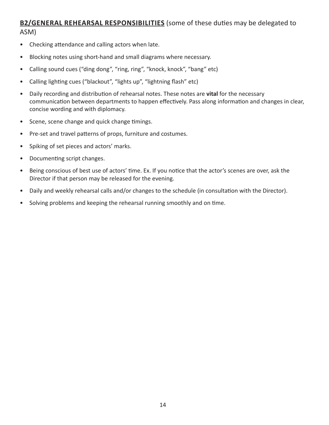### **B2/GENERAL REHEARSAL RESPONSIBILITIES** (some of these duties may be delegated to ASM)

- Checking attendance and calling actors when late.
- • Blocking notes using short-hand and small diagrams where necessary.
- Calling sound cues ("ding dong", "ring, ring", "knock, knock", "bang" etc)
- • Calling lighting cues ("blackout", "lights up", "lightning flash" etc)
- • Daily recording and distribution of rehearsal notes. These notes are **vital** for the necessary communication between departments to happen effectively. Pass along information and changes in clear, concise wording and with diplomacy.
- Scene, scene change and quick change timings.
- • Pre-set and travel patterns of props, furniture and costumes.
- • Spiking of set pieces and actors' marks.
- Documenting script changes.
- Being conscious of best use of actors' time. Ex. If you notice that the actor's scenes are over, ask the Director if that person may be released for the evening.
- Daily and weekly rehearsal calls and/or changes to the schedule (in consultation with the Director).
- Solving problems and keeping the rehearsal running smoothly and on time.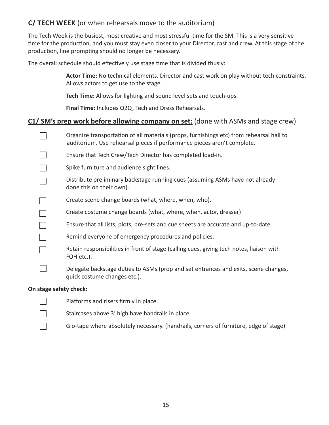### **C/ TECH WEEK** (or when rehearsals move to the auditorium)

The Tech Week is the busiest, most creative and most stressful time for the SM. This is a very sensitive time for the production, and you must stay even closer to your Director, cast and crew. At this stage of the production, line prompting should no longer be necessary.

The overall schedule should effectively use stage time that is divided thusly:

**Actor Time:** No technical elements. Director and cast work on play without tech constraints. Allows actors to get use to the stage.

**Tech Time:** Allows for lighting and sound level sets and touch-ups.

**Final Time:** Includes Q2Q, Tech and Dress Rehearsals.

### **C1/ SM's prep work before allowing company on set:** (done with ASMs and stage crew)

|                        | Organize transportation of all materials (props, furnishings etc) from rehearsal hall to<br>auditorium. Use rehearsal pieces if performance pieces aren't complete. |  |  |
|------------------------|---------------------------------------------------------------------------------------------------------------------------------------------------------------------|--|--|
|                        | Ensure that Tech Crew/Tech Director has completed load-in.                                                                                                          |  |  |
|                        | Spike furniture and audience sight lines.                                                                                                                           |  |  |
|                        | Distribute preliminary backstage running cues (assuming ASMs have not already<br>done this on their own).                                                           |  |  |
|                        | Create scene change boards (what, where, when, who).                                                                                                                |  |  |
|                        | Create costume change boards (what, where, when, actor, dresser)                                                                                                    |  |  |
|                        | Ensure that all lists, plots, pre-sets and cue sheets are accurate and up-to-date.                                                                                  |  |  |
|                        | Remind everyone of emergency procedures and policies.                                                                                                               |  |  |
|                        | Retain responsibilities in front of stage (calling cues, giving tech notes, liaison with<br>FOH etc.).                                                              |  |  |
|                        | Delegate backstage duties to ASMs (prop and set entrances and exits, scene changes,<br>quick costume changes etc.).                                                 |  |  |
| On stage safety check: |                                                                                                                                                                     |  |  |

#### $\Box$ Platforms and risers firmly in place.  $\Box$ Staircases above 3' high have handrails in place. Glo-tape where absolutely necessary. (handrails, corners of furniture, edge of stage) $\Box$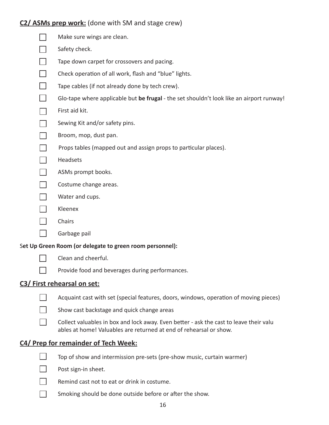### **C2/ ASMs prep work:** (done with SM and stage crew)

| Make sure wings are clean.                                                                                                                                   |
|--------------------------------------------------------------------------------------------------------------------------------------------------------------|
| Safety check.                                                                                                                                                |
| Tape down carpet for crossovers and pacing.                                                                                                                  |
| Check operation of all work, flash and "blue" lights.                                                                                                        |
| Tape cables (if not already done by tech crew).                                                                                                              |
| Glo-tape where applicable but be frugal - the set shouldn't look like an airport runway!                                                                     |
| First aid kit.                                                                                                                                               |
| Sewing Kit and/or safety pins.                                                                                                                               |
| Broom, mop, dust pan.                                                                                                                                        |
| Props tables (mapped out and assign props to particular places).                                                                                             |
| Headsets                                                                                                                                                     |
| ASMs prompt books.                                                                                                                                           |
| Costume change areas.                                                                                                                                        |
| Water and cups.                                                                                                                                              |
| Kleenex                                                                                                                                                      |
| Chairs                                                                                                                                                       |
| Garbage pail                                                                                                                                                 |
| Set Up Green Room (or delegate to green room personnel):                                                                                                     |
| Clean and cheerful.                                                                                                                                          |
| Provide food and beverages during performances.                                                                                                              |
| C3/ First rehearsal on set:                                                                                                                                  |
| Acquaint cast with set (special features, doors, windows, operation of moving pieces)                                                                        |
| Show cast backstage and quick change areas                                                                                                                   |
| Collect valuables in box and lock away. Even better - ask the cast to leave their valu<br>ables at home! Valuables are returned at end of rehearsal or show. |
| C4/ Prep for remainder of Tech Week:                                                                                                                         |
| Top of show and intermission pre-sets (pre-show music, curtain warmer)                                                                                       |
| Post sign-in sheet.                                                                                                                                          |
| Remind cast not to eat or drink in costume.                                                                                                                  |
|                                                                                                                                                              |

 $\Box$ Smoking should be done outside before or after the show.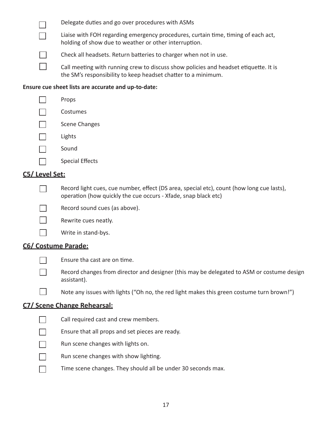|                | Delegate duties and go over procedures with ASMs                                                                                                      |
|----------------|-------------------------------------------------------------------------------------------------------------------------------------------------------|
|                | Liaise with FOH regarding emergency procedures, curtain time, timing of each act,<br>holding of show due to weather or other interruption.            |
|                | Check all headsets. Return batteries to charger when not in use.                                                                                      |
|                | Call meeting with running crew to discuss show policies and headset etiquette. It is<br>the SM's responsibility to keep headset chatter to a minimum. |
|                | Ensure cue sheet lists are accurate and up-to-date:                                                                                                   |
|                | Props                                                                                                                                                 |
|                | Costumes                                                                                                                                              |
|                | <b>Scene Changes</b>                                                                                                                                  |
|                | Lights                                                                                                                                                |
|                | Sound                                                                                                                                                 |
|                | <b>Special Effects</b>                                                                                                                                |
| C5/ Level Set: |                                                                                                                                                       |

operation (how quickly the cue occurs - Xfade, snap black etc)

### **C5/ Level Set:**

 $\Box$ 

Record sound cues (as above).



Rewrite cues neatly.



### **C6/ Costume Parade:**



 $\Box$ 

Ensure tha cast are on time.

Record changes from director and designer (this may be delegated to ASM or costume design assistant).

Record light cues, cue number, effect (DS area, special etc), count (how long cue lasts), 



### **C7/ Scene Change Rehearsal:**



Call required cast and crew members.



Ensure that all props and set pieces are ready.



- Run scene changes with show lighting.  $\Box$
- $\Box$ Time scene changes. They should all be under 30 seconds max.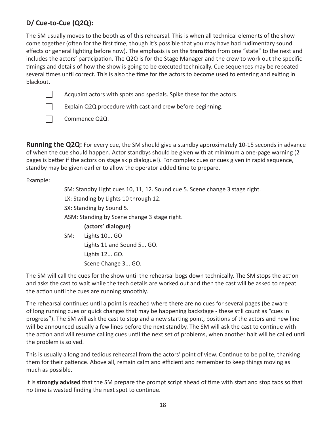### **D/ Cue-to-Cue (Q2Q):**

The SM usually moves to the booth as of this rehearsal. This is when all technical elements of the show come together (often for the first time, though it's possible that you may have had rudimentary sound effects or general lighting before now). The emphasis is on the **transition** from one "state" to the next and includes the actors' participation. The Q2Q is for the Stage Manager and the crew to work out the specific timings and details of how the show is going to be executed technically. Cue sequences may be repeated several times until correct. This is also the time for the actors to become used to entering and exiting in blackout.



Acquaint actors with spots and specials. Spike these for the actors.

Explain Q2Q procedure with cast and crew before beginning.

 $\Box$ П

Commence Q2Q.

**Running the Q2Q:** For every cue, the SM should give a standby approximately 10-15 seconds in advance of when the cue should happen. Actor standbys should be given with at minimum a one-page warning (2 pages is better if the actors on stage skip dialogue!). For complex cues or cues given in rapid sequence, standby may be given earlier to allow the operator added time to prepare.

Example:

SM: Standby Light cues 10, 11, 12. Sound cue 5. Scene change 3 stage right. LX: Standing by Lights 10 through 12. SX: Standing by Sound 5. ASM: Standing by Scene change 3 stage right. **(actors' dialogue)** SM: Lights 10... GO Lights 11 and Sound 5... GO. Lights 12... GO. Scene Change 3... GO.

The SM will call the cues for the show until the rehearsal bogs down technically. The SM stops the action and asks the cast to wait while the tech details are worked out and then the cast will be asked to repeat the action until the cues are running smoothly.

The rehearsal continues until a point is reached where there are no cues for several pages (be aware of long running cues or quick changes that may be happening backstage - these still count as "cues in progress"). The SM will ask the cast to stop and a new starting point, positions of the actors and new line will be announced usually a few lines before the next standby. The SM will ask the cast to continue with the action and will resume calling cues until the next set of problems, when another halt will be called until the problem is solved.

This is usually a long and tedious rehearsal from the actors' point of view. Continue to be polite, thanking them for their patience. Above all, remain calm and efficient and remember to keep things moving as much as possible.

It is **strongly advised** that the SM prepare the prompt script ahead of time with start and stop tabs so that no time is wasted finding the next spot to continue.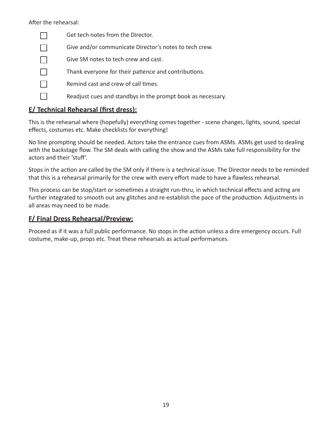After the rehearsal:

| Get tech notes from the Director.                           |
|-------------------------------------------------------------|
| Give and/or communicate Director's notes to tech crew.      |
| Give SM notes to tech crew and cast.                        |
| Thank everyone for their patience and contributions.        |
| Remind cast and crew of call times.                         |
| Readjust cues and standbys in the prompt book as necessary. |
|                                                             |

### **E/ Technical Rehearsal (first dress):**

This is the rehearsal where (hopefully) everything comes together - scene changes, lights, sound, special effects, costumes etc. Make checklists for everything!

No line prompting should be needed. Actors take the entrance cues from ASMs. ASMs get used to dealing with the backstage flow. The SM deals with calling the show and the ASMs take full responsibility for the actors and their 'stuff'.

Stops in the action are called by the SM only if there is a technical issue. The Director needs to be reminded that this is a rehearsal primarily for the crew with every effort made to have a flawless rehearsal.

This process can be stop/start or sometimes a straight run-thru, in which technical effects and acting are further integrated to smooth out any glitches and re-establish the pace of the production. Adjustments in all areas may need to be made.

### **F/ Final Dress Rehearsal/Preview:**

Proceed as if it was a full public performance. No stops in the action unless a dire emergency occurs. Full costume, make-up, props etc. Treat these rehearsals as actual performances.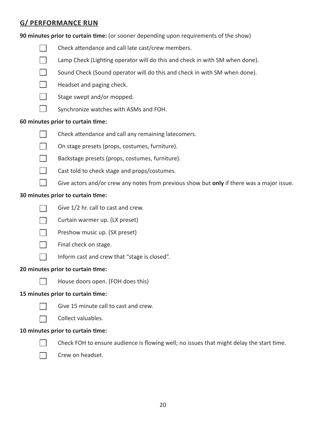### **g/ performance run**

**90 minutes prior to curtain time:** (or sooner depending upon requirements of the show)

- $\Box$ Check attendance and call late cast/crew members.
- $\Box$ Lamp Check (Lighting operator will do this and check in with SM when done).
- $\Box$ Sound Check (Sound operator will do this and check in with SM when done).

 $\Box$ Headset and paging check.



 $\Box$ 

- Stage swept and/or mopped.
- Synchronize watches with ASMs and FOH.

### **60 minutes prior to curtain time:**



- Check attendance and call any remaining latecomers.
- $\Box$ On stage presets (props, costumes, furniture).
- П. Backstage presets (props, costumes, furniture).
- $\Box$ Cast told to check stage and props/costumes.
- $\Box$ Give actors and/or crew any notes from previous show but **only** if there was a major issue.

### **30 minutes prior to curtain time:**



- Give 1/2 hr. call to cast and crew.
- Curtain warmer up. (LX preset)  $\Box$



- Preshow music up. (SX preset)
- $\Box$ Final check on stage.
	- Inform cast and crew that "stage is closed".

### **20 minutes prior to curtain time:**



 $\Box$ 

House doors open. (FOH does this)

### **15 minutes prior to curtain time:**



- Give 15 minute call to cast and crew.
- Collect valuables.  $\Box$

### **10 minutes prior to curtain time:**



Check FOH to ensure audience is flowing well; no issues that might delay the start time.

Crew on headset. $\Box$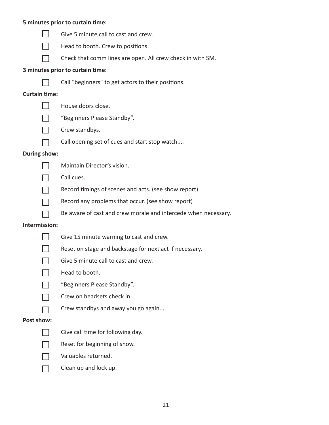#### **5 minutes prior to curtain time:**



- Give 5 minute call to cast and crew.
- Head to booth. Crew to positions.  $\Box$
- Check that comm lines are open. All crew check in with SM.  $\Box$

#### **3 minutes prior to curtain time:**



Call "beginners" to get actors to their positions.

#### **Curtain time:**

 $\Box$ House doors close.







- "Beginners Please Standby". Crew standbys.
- $\Box$  $\mathbb{R}^n$
- Call opening set of cues and start stop watch....
- **During show:**



- Maintain Director's vision.
- Call cues.
- Record timings of scenes and acts. (see show report)
- Record any problems that occur. (see show report)
	- Be aware of cast and crew morale and intercede when necessary.

#### **Intermission:**

 $\mathbb{R}^n$ 



- Give 15 minute warning to cast and crew.
- Reset on stage and backstage for next act if necessary.  $\Box$ 
	- Give 5 minute call to cast and crew.
	- Head to booth.
	- "Beginners Please Standby".
	- Crew on headsets check in.
	- Crew standbys and away you go again...

#### **Post show:**



 $\Box$ 

- Give call time for following day.
- Reset for beginning of show.
- Valuables returned.
- Clean up and lock up. $\Box$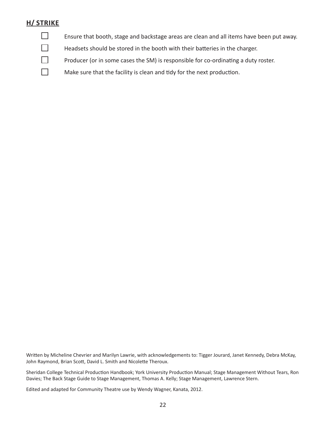### **H/ Strike**

 $\Box$ 

 $\Box$ 

П

 $\Box$ 

Ensure that booth, stage and backstage areas are clean and all items have been put away.

Headsets should be stored in the booth with their batteries in the charger.

Producer (or in some cases the SM) is responsible for co-ordinating a duty roster.

Make sure that the facility is clean and tidy for the next production.

Written by Micheline Chevrier and Marilyn Lawrie, with acknowledgements to: Tigger Jourard, Janet Kennedy, Debra McKay, John Raymond, Brian Scott, David L. Smith and Nicolette Theroux.

Sheridan College Technical Production Handbook; York University Production Manual; Stage Management Without Tears, Ron Davies; The Back Stage Guide to Stage Management, Thomas A. Kelly; Stage Management, Lawrence Stern.

Edited and adapted for Community Theatre use by Wendy Wagner, Kanata, 2012.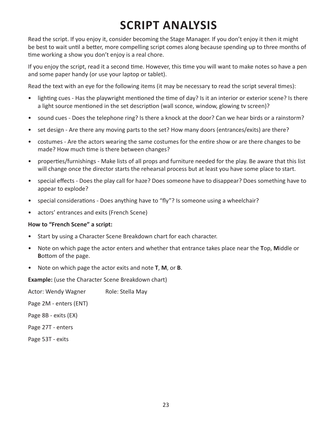# **script analysis**

Read the script. If you enjoy it, consider becoming the Stage Manager. If you don't enjoy it then it might be best to wait until a better, more compelling script comes along because spending up to three months of time working a show you don't enjoy is a real chore.

If you enjoy the script, read it a second time. However, this time you will want to make notes so have a pen and some paper handy (or use your laptop or tablet).

Read the text with an eye for the following items (it may be necessary to read the script several times):

- lighting cues Has the playwright mentioned the time of day? Is it an interior or exterior scene? Is there a light source mentioned in the set description (wall sconce, window, glowing tv screen)?
- sound cues Does the telephone ring? Is there a knock at the door? Can we hear birds or a rainstorm?
- set design Are there any moving parts to the set? How many doors (entrances/exits) are there?
- costumes Are the actors wearing the same costumes for the entire show or are there changes to be made? How much time is there between changes?
- properties/furnishings Make lists of all props and furniture needed for the play. Be aware that this list will change once the director starts the rehearsal process but at least you have some place to start.
- special effects Does the play call for haze? Does someone have to disappear? Does something have to appear to explode?
- special considerations Does anything have to "fly"? Is someone using a wheelchair?
- • actors' entrances and exits (French Scene)

### **How to "French Scene" a script:**

- Start by using a Character Scene Breakdown chart for each character.
- • Note on which page the actor enters and whether that entrance takes place near the **T**op, **M**iddle or **B**ottom of the page.
- • Note on which page the actor exits and note **T**, **M**, or **B**.

**Example:** (use the Character Scene Breakdown chart)

Actor: Wendy Wagner Role: Stella May Page 2M - enters (ENT) Page 8B - exits (EX) Page 27T - enters Page 53T - exits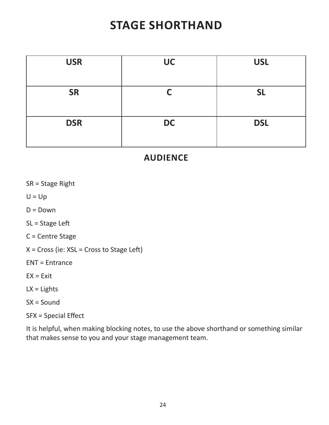# **stage shorthand**

| <b>USR</b> | <b>UC</b> | <b>USL</b> |
|------------|-----------|------------|
|            |           |            |
| <b>SR</b>  | ◚         | <b>SL</b>  |
|            |           |            |
| <b>DSR</b> | <b>DC</b> | <b>DSL</b> |
|            |           |            |

## **audience**

SR = Stage Right

 $U = Up$ 

 $D = Down$ 

SL = Stage Left

C = Centre Stage

 $X = Cross$  (ie:  $XSL = Cross$  to Stage Left)

ENT = Entrance

 $EX = Exist$ 

 $LX = L$ ights

SX = Sound

SFX = Special Effect

It is helpful, when making blocking notes, to use the above shorthand or something similar that makes sense to you and your stage management team.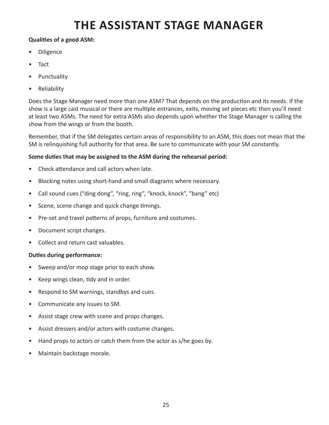# **the assistant stage manager**

### **Qualities of a good ASM:**

- **Diligence**
- **Tact**
- **Punctuality**
- **Reliability**

Does the Stage Manager need more than one ASM? That depends on the production and its needs. If the show is a large cast musical or there are multiple entrances, exits, moving set pieces etc then you'll need at least two ASMs. The need for extra ASMs also depends upon whether the Stage Manager is calling the show from the wings or from the booth.

Remember, that if the SM delegates certain areas of responsibility to an ASM, this does not mean that the SM is relinquishing full authority for that area. Be sure to communicate with your SM constantly.

### **Some duties that may be assigned to the ASM during the rehearsal period:**

- • Check attendance and call actors when late.
- • Blocking notes using short-hand and small diagrams where necessary.
- Call sound cues ("ding dong", "ring, ring", "knock, knock", "bang" etc)
- Scene, scene change and quick change timings.
- Pre-set and travel patterns of props, furniture and costumes.
- Document script changes.
- Collect and return cast valuables.

### **Duties during performance:**

- Sweep and/or mop stage prior to each show.
- • Keep wings clean, tidy and in order.
- Respond to SM warnings, standbys and cues.
- • Communicate any issues to SM.
- • Assist stage crew with scene and props changes.
- Assist dressers and/or actors with costume changes.
- Hand props to actors or catch them from the actor as s/he goes by.
- Maintain backstage morale.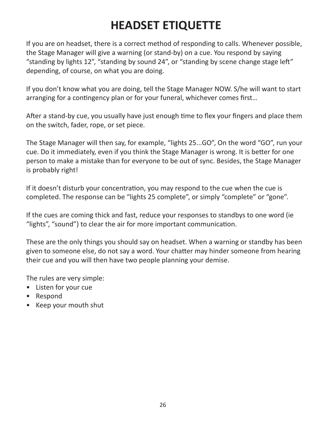# **HEADSET ETIQUETTE**

If you are on headset, there is a correct method of responding to calls. Whenever possible, the Stage Manager will give a warning (or stand-by) on a cue. You respond by saying "standing by lights 12", "standing by sound 24", or "standing by scene change stage left" depending, of course, on what you are doing.

If you don't know what you are doing, tell the Stage Manager NOW. S/he will want to start arranging for a contingency plan or for your funeral, whichever comes first…

After a stand-by cue, you usually have just enough time to flex your fingers and place them on the switch, fader, rope, or set piece.

The Stage Manager will then say, for example, "lights 25...GO", On the word "GO", run your cue. Do it immediately, even if you think the Stage Manager is wrong. It is better for one person to make a mistake than for everyone to be out of sync. Besides, the Stage Manager is probably right!

If it doesn't disturb your concentration, you may respond to the cue when the cue is completed. The response can be "lights 25 complete", or simply "complete" or "gone".

If the cues are coming thick and fast, reduce your responses to standbys to one word (ie "lights", "sound") to clear the air for more important communication.

These are the only things you should say on headset. When a warning or standby has been given to someone else, do not say a word. Your chatter may hinder someone from hearing their cue and you will then have two people planning your demise.

The rules are very simple:

- • Listen for your cue
- • Respond
- • Keep your mouth shut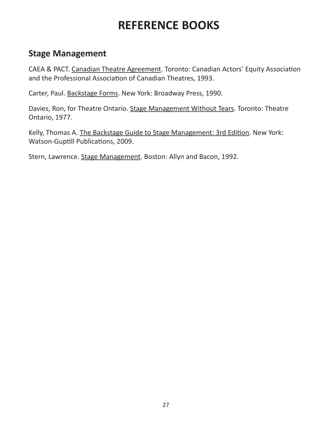# **REFERENCE BOOKS**

## **Stage Management**

CAEA & PACT. Canadian Theatre Agreement. Toronto: Canadian Actors' Equity Association and the Professional Association of Canadian Theatres, 1993.

Carter, Paul. Backstage Forms. New York: Broadway Press, 1990.

Davies, Ron, for Theatre Ontario. Stage Management Without Tears. Toronto: Theatre Ontario, 1977.

Kelly, Thomas A. The Backstage Guide to Stage Management: 3rd Edition. New York: Watson-Guptill Publications, 2009.

Stern, Lawrence. Stage Management. Boston: Allyn and Bacon, 1992.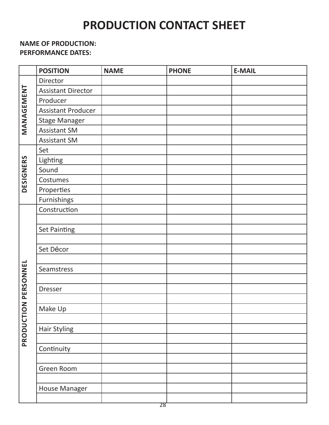# **PRODUCTION CONTACT SHEET**

### **NAME OF PRODUCTION: PERFORMANCE DATES:**

|                  | <b>POSITION</b>           | <b>NAME</b> | <b>PHONE</b> | <b>E-MAIL</b> |
|------------------|---------------------------|-------------|--------------|---------------|
| MANAGEMENT       | Director                  |             |              |               |
|                  | <b>Assistant Director</b> |             |              |               |
|                  | Producer                  |             |              |               |
|                  | <b>Assistant Producer</b> |             |              |               |
|                  | <b>Stage Manager</b>      |             |              |               |
|                  | <b>Assistant SM</b>       |             |              |               |
|                  | <b>Assistant SM</b>       |             |              |               |
|                  | Set                       |             |              |               |
|                  | Lighting                  |             |              |               |
| <b>DESIGNERS</b> | Sound                     |             |              |               |
|                  | Costumes                  |             |              |               |
|                  | Properties                |             |              |               |
|                  | <b>Furnishings</b>        |             |              |               |
|                  | Construction              |             |              |               |
|                  |                           |             |              |               |
|                  | Set Painting              |             |              |               |
|                  |                           |             |              |               |
|                  | Set Décor                 |             |              |               |
|                  |                           |             |              |               |
|                  | Seamstress                |             |              |               |
|                  |                           |             |              |               |
| PERSONNEL        | <b>Dresser</b>            |             |              |               |
| $\overline{z}$   |                           |             |              |               |
|                  | Make Up                   |             |              |               |
|                  |                           |             |              |               |
|                  | <b>Hair Styling</b>       |             |              |               |
| PRODUCTIO        |                           |             |              |               |
|                  | Continuity                |             |              |               |
|                  |                           |             |              |               |
|                  | Green Room                |             |              |               |
|                  |                           |             |              |               |
|                  | <b>House Manager</b>      |             |              |               |
|                  |                           |             |              |               |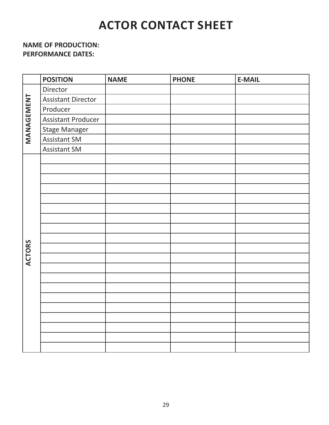# **actor contact sheet**

### **NAME OF PRODUCTION: PERFORMANCE DATES:**

|               | <b>POSITION</b>           | <b>NAME</b> | <b>PHONE</b> | <b>E-MAIL</b> |
|---------------|---------------------------|-------------|--------------|---------------|
| MANAGEMENT    | Director                  |             |              |               |
|               | <b>Assistant Director</b> |             |              |               |
|               | Producer                  |             |              |               |
|               | <b>Assistant Producer</b> |             |              |               |
|               | <b>Stage Manager</b>      |             |              |               |
|               | Assistant SM              |             |              |               |
|               | <b>Assistant SM</b>       |             |              |               |
|               |                           |             |              |               |
|               |                           |             |              |               |
|               |                           |             |              |               |
|               |                           |             |              |               |
|               |                           |             |              |               |
|               |                           |             |              |               |
|               |                           |             |              |               |
|               |                           |             |              |               |
|               |                           |             |              |               |
| <b>ACTORS</b> |                           |             |              |               |
|               |                           |             |              |               |
|               |                           |             |              |               |
|               |                           |             |              |               |
|               |                           |             |              |               |
|               |                           |             |              |               |
|               |                           |             |              |               |
|               |                           |             |              |               |
|               |                           |             |              |               |
|               |                           |             |              |               |
|               |                           |             |              |               |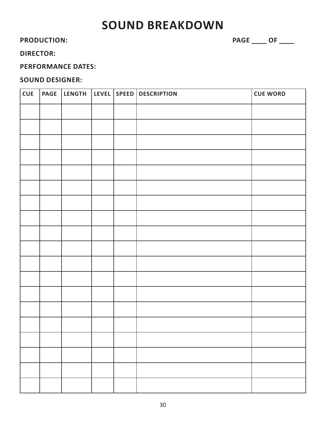## **SOUND BREAKDOWN**

PRODUCTION: PRODUCTION:

### **director:**

### **performance dates:**

### **sound designer:**

| <b>CUE</b> | <b>PAGE</b> | LENGTH |  | LEVEL SPEED DESCRIPTION | <b>CUE WORD</b> |
|------------|-------------|--------|--|-------------------------|-----------------|
|            |             |        |  |                         |                 |
|            |             |        |  |                         |                 |
|            |             |        |  |                         |                 |
|            |             |        |  |                         |                 |
|            |             |        |  |                         |                 |
|            |             |        |  |                         |                 |
|            |             |        |  |                         |                 |
|            |             |        |  |                         |                 |
|            |             |        |  |                         |                 |
|            |             |        |  |                         |                 |
|            |             |        |  |                         |                 |
|            |             |        |  |                         |                 |
|            |             |        |  |                         |                 |
|            |             |        |  |                         |                 |
|            |             |        |  |                         |                 |
|            |             |        |  |                         |                 |
|            |             |        |  |                         |                 |
|            |             |        |  |                         |                 |
|            |             |        |  |                         |                 |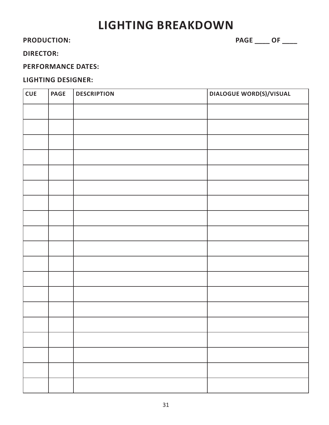# **lighting breakdown**

PRODUCTION: PRODUCTION:

### **director:**

### **performance dates:**

### **lighting designer:**

| <b>CUE</b> | <b>PAGE</b> | <b>DESCRIPTION</b> | <b>DIALOGUE WORD(S)/VISUAL</b> |
|------------|-------------|--------------------|--------------------------------|
|            |             |                    |                                |
|            |             |                    |                                |
|            |             |                    |                                |
|            |             |                    |                                |
|            |             |                    |                                |
|            |             |                    |                                |
|            |             |                    |                                |
|            |             |                    |                                |
|            |             |                    |                                |
|            |             |                    |                                |
|            |             |                    |                                |
|            |             |                    |                                |
|            |             |                    |                                |
|            |             |                    |                                |
|            |             |                    |                                |
|            |             |                    |                                |
|            |             |                    |                                |
|            |             |                    |                                |
|            |             |                    |                                |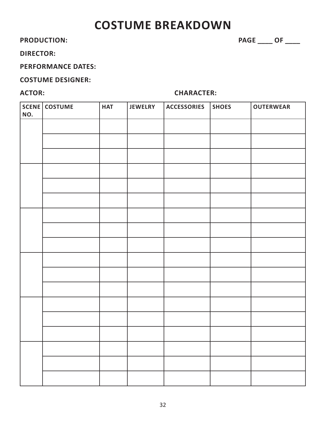## **costume breakdown**

PRODUCTION:  $\begin{array}{ccc} \texttt{PRODUCTION:} \end{array}$ 

### **director:**

### **performance dates:**

### **costume designer:**

### ACTOR: CHARACTER:

| NO. | SCENE COSTUME | <b>HAT</b> | <b>JEWELRY</b> | <b>ACCESSORIES</b> | <b>SHOES</b> | <b>OUTERWEAR</b> |
|-----|---------------|------------|----------------|--------------------|--------------|------------------|
|     |               |            |                |                    |              |                  |
|     |               |            |                |                    |              |                  |
|     |               |            |                |                    |              |                  |
|     |               |            |                |                    |              |                  |
|     |               |            |                |                    |              |                  |
|     |               |            |                |                    |              |                  |
|     |               |            |                |                    |              |                  |
|     |               |            |                |                    |              |                  |
|     |               |            |                |                    |              |                  |
|     |               |            |                |                    |              |                  |
|     |               |            |                |                    |              |                  |
|     |               |            |                |                    |              |                  |
|     |               |            |                |                    |              |                  |
|     |               |            |                |                    |              |                  |
|     |               |            |                |                    |              |                  |
|     |               |            |                |                    |              |                  |
|     |               |            |                |                    |              |                  |
|     |               |            |                |                    |              |                  |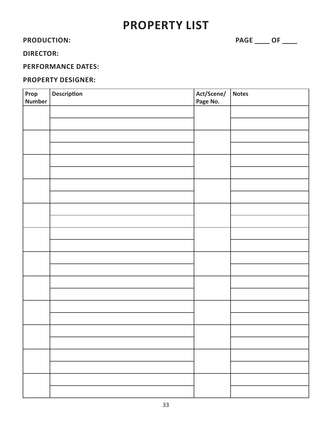## **property list**

PRODUCTION: PRODUCTION:

### **director:**

### **performance dates:**

### **property designer:**

| Prop<br><b>Number</b> | Description | Act/Scene/<br>Page No. | Notes |
|-----------------------|-------------|------------------------|-------|
|                       |             |                        |       |
|                       |             |                        |       |
|                       |             |                        |       |
|                       |             |                        |       |
|                       |             |                        |       |
|                       |             |                        |       |
|                       |             |                        |       |
|                       |             |                        |       |
|                       |             |                        |       |
|                       |             |                        |       |
|                       |             |                        |       |
|                       |             |                        |       |
|                       |             |                        |       |
|                       |             |                        |       |
|                       |             |                        |       |
|                       |             |                        |       |
|                       |             |                        |       |
|                       |             |                        |       |
|                       |             |                        |       |
|                       |             |                        |       |
|                       |             |                        |       |
|                       |             |                        |       |
|                       |             |                        |       |
|                       |             |                        |       |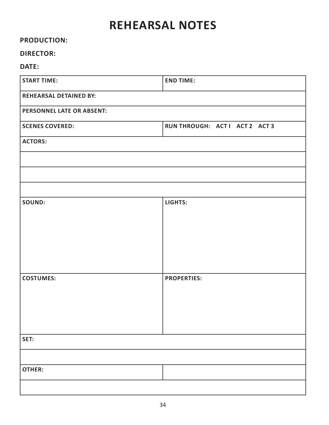# **rehearsal notes**

### **production:**

### **director:**

| <b>START TIME:</b>               | <b>END TIME:</b>               |
|----------------------------------|--------------------------------|
| <b>REHEARSAL DETAINED BY:</b>    |                                |
| <b>PERSONNEL LATE OR ABSENT:</b> |                                |
| <b>SCENES COVERED:</b>           | RUN THROUGH: ACT I ACT 2 ACT 3 |
| <b>ACTORS:</b>                   |                                |
|                                  |                                |
|                                  |                                |
|                                  |                                |
| <b>SOUND:</b>                    | LIGHTS:                        |
|                                  |                                |
|                                  |                                |
|                                  |                                |
|                                  |                                |
| <b>COSTUMES:</b>                 | <b>PROPERTIES:</b>             |
|                                  |                                |
|                                  |                                |
|                                  |                                |
| SET:                             |                                |
|                                  |                                |
| <b>OTHER:</b>                    |                                |
|                                  |                                |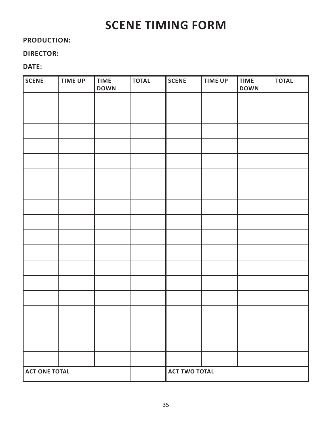# **scene timing form**

### **production:**

### **director:**

| <b>SCENE</b>         | <b>TIME UP</b> | <b>TIME</b><br><b>DOWN</b> | <b>TOTAL</b> | <b>SCENE</b>         | <b>TIME UP</b> | <b>TIME</b><br><b>DOWN</b> | <b>TOTAL</b> |
|----------------------|----------------|----------------------------|--------------|----------------------|----------------|----------------------------|--------------|
|                      |                |                            |              |                      |                |                            |              |
|                      |                |                            |              |                      |                |                            |              |
|                      |                |                            |              |                      |                |                            |              |
|                      |                |                            |              |                      |                |                            |              |
|                      |                |                            |              |                      |                |                            |              |
|                      |                |                            |              |                      |                |                            |              |
|                      |                |                            |              |                      |                |                            |              |
|                      |                |                            |              |                      |                |                            |              |
|                      |                |                            |              |                      |                |                            |              |
|                      |                |                            |              |                      |                |                            |              |
|                      |                |                            |              |                      |                |                            |              |
|                      |                |                            |              |                      |                |                            |              |
|                      |                |                            |              |                      |                |                            |              |
|                      |                |                            |              |                      |                |                            |              |
|                      |                |                            |              |                      |                |                            |              |
|                      |                |                            |              |                      |                |                            |              |
|                      |                |                            |              |                      |                |                            |              |
|                      |                |                            |              |                      |                |                            |              |
| <b>ACT ONE TOTAL</b> |                |                            |              | <b>ACT TWO TOTAL</b> |                |                            |              |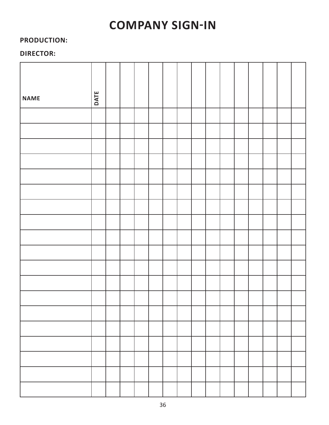# **company sign-in**

### **production:**

### **director:**

| <b>NAME</b> | DATE |  |  |  |  |  |  |  |
|-------------|------|--|--|--|--|--|--|--|
|             |      |  |  |  |  |  |  |  |
|             |      |  |  |  |  |  |  |  |
|             |      |  |  |  |  |  |  |  |
|             |      |  |  |  |  |  |  |  |
|             |      |  |  |  |  |  |  |  |
|             |      |  |  |  |  |  |  |  |
|             |      |  |  |  |  |  |  |  |
|             |      |  |  |  |  |  |  |  |
|             |      |  |  |  |  |  |  |  |
|             |      |  |  |  |  |  |  |  |
|             |      |  |  |  |  |  |  |  |
|             |      |  |  |  |  |  |  |  |
|             |      |  |  |  |  |  |  |  |
|             |      |  |  |  |  |  |  |  |
|             |      |  |  |  |  |  |  |  |
|             |      |  |  |  |  |  |  |  |
|             |      |  |  |  |  |  |  |  |
|             |      |  |  |  |  |  |  |  |
|             |      |  |  |  |  |  |  |  |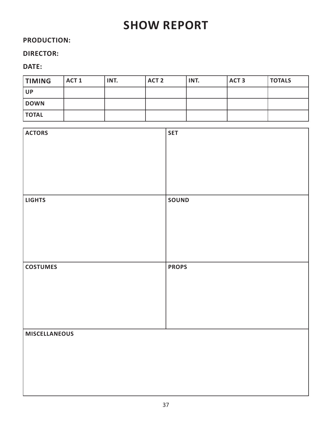# **show report**

### **production:**

### **director:**

| <b>TIMING</b>  | ACT <sub>1</sub> | INT. | ACT <sub>2</sub> | INT. | ACT <sub>3</sub> | <b>TOTALS</b> |
|----------------|------------------|------|------------------|------|------------------|---------------|
| UP <sup></sup> |                  |      |                  |      |                  |               |
| DOWN           |                  |      |                  |      |                  |               |
| TOTAL          |                  |      |                  |      |                  |               |

| <b>ACTORS</b>        | <b>SET</b>   |
|----------------------|--------------|
|                      |              |
|                      |              |
|                      |              |
|                      |              |
|                      |              |
|                      |              |
|                      |              |
|                      |              |
|                      |              |
|                      |              |
| <b>LIGHTS</b>        | <b>SOUND</b> |
|                      |              |
|                      |              |
|                      |              |
|                      |              |
|                      |              |
|                      |              |
|                      |              |
|                      |              |
|                      |              |
|                      |              |
| <b>COSTUMES</b>      | <b>PROPS</b> |
|                      |              |
|                      |              |
|                      |              |
|                      |              |
|                      |              |
|                      |              |
|                      |              |
|                      |              |
|                      |              |
|                      |              |
|                      |              |
| <b>MISCELLANEOUS</b> |              |
|                      |              |
|                      |              |
|                      |              |
|                      |              |
|                      |              |
|                      |              |
|                      |              |
|                      |              |
|                      |              |
|                      |              |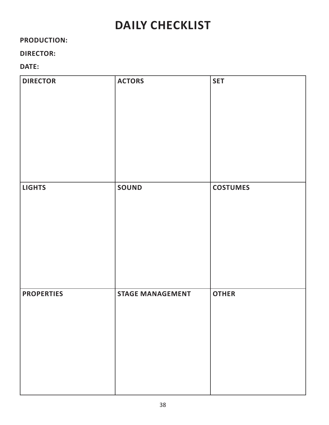# **daily checklist**

### **production:**

### **director:**

| <b>DIRECTOR</b>   | <b>ACTORS</b>           | <b>SET</b>      |
|-------------------|-------------------------|-----------------|
| <b>LIGHTS</b>     | <b>SOUND</b>            | <b>COSTUMES</b> |
| <b>PROPERTIES</b> | <b>STAGE MANAGEMENT</b> | <b>OTHER</b>    |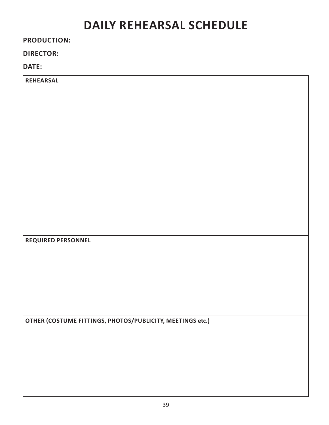# **daily rehearsal schedule**

### **production:**

### **director:**

| <b>REHEARSAL</b>                                          |
|-----------------------------------------------------------|
|                                                           |
|                                                           |
|                                                           |
|                                                           |
|                                                           |
|                                                           |
|                                                           |
|                                                           |
|                                                           |
|                                                           |
|                                                           |
|                                                           |
|                                                           |
|                                                           |
|                                                           |
|                                                           |
| REQUIRED PERSONNEL                                        |
|                                                           |
|                                                           |
|                                                           |
|                                                           |
|                                                           |
|                                                           |
|                                                           |
|                                                           |
| OTHER (COSTUME FITTINGS, PHOTOS/PUBLICITY, MEETINGS etc.) |
|                                                           |
|                                                           |
|                                                           |
|                                                           |
|                                                           |
|                                                           |
|                                                           |